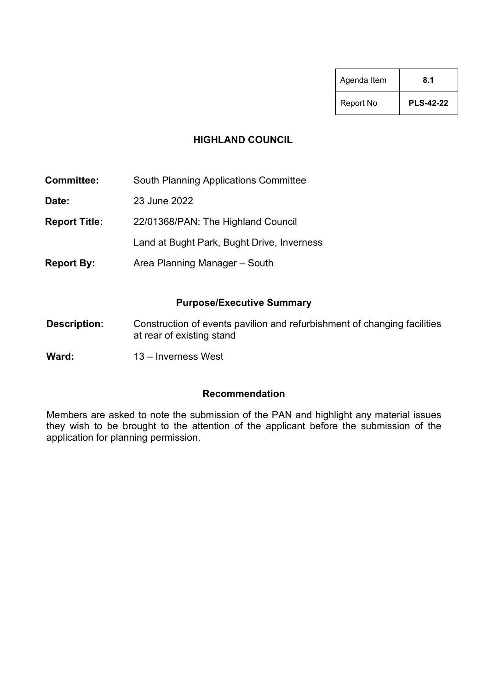| Agenda Item | 8.1              |
|-------------|------------------|
| Report No   | <b>PLS-42-22</b> |

#### **HIGHLAND COUNCIL**

**Committee:** South Planning Applications Committee

**Date:** 23 June 2022

**Report Title:** 22/01368/PAN: The Highland Council

Land at Bught Park, Bught Drive, Inverness

**Report By:** Area Planning Manager – South

#### **Purpose/Executive Summary**

- **Description:** Construction of events pavilion and refurbishment of changing facilities at rear of existing stand
- **Ward:** 13 Inverness West

#### **Recommendation**

Members are asked to note the submission of the PAN and highlight any material issues they wish to be brought to the attention of the applicant before the submission of the application for planning permission.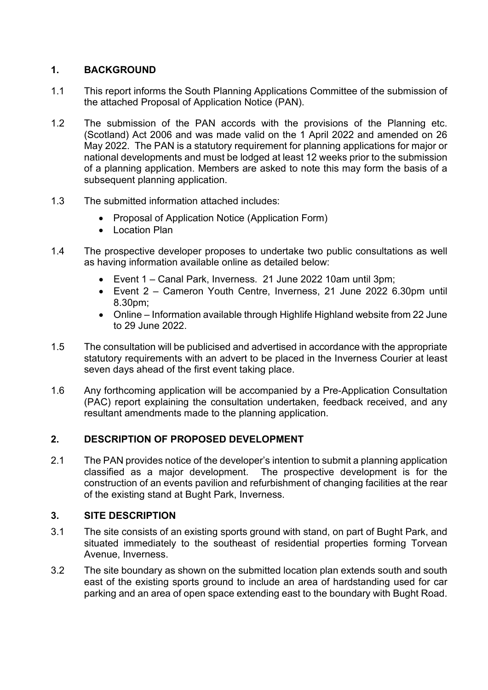# **1. BACKGROUND**

- 1.1 This report informs the South Planning Applications Committee of the submission of the attached Proposal of Application Notice (PAN).
- 1.2 The submission of the PAN accords with the provisions of the Planning etc. (Scotland) Act 2006 and was made valid on the 1 April 2022 and amended on 26 May 2022. The PAN is a statutory requirement for planning applications for major or national developments and must be lodged at least 12 weeks prior to the submission of a planning application. Members are asked to note this may form the basis of a subsequent planning application.
- 1.3 The submitted information attached includes:
	- Proposal of Application Notice (Application Form)
	- Location Plan
- 1.4 The prospective developer proposes to undertake two public consultations as well as having information available online as detailed below:
	- Event 1 Canal Park, Inverness. 21 June 2022 10am until 3pm;
	- Event 2 Cameron Youth Centre, Inverness, 21 June 2022 6.30pm until 8.30pm;
	- Online Information available through Highlife Highland website from 22 June to 29 June 2022.
- 1.5 The consultation will be publicised and advertised in accordance with the appropriate statutory requirements with an advert to be placed in the Inverness Courier at least seven days ahead of the first event taking place.
- 1.6 Any forthcoming application will be accompanied by a Pre-Application Consultation (PAC) report explaining the consultation undertaken, feedback received, and any resultant amendments made to the planning application.

# **2. DESCRIPTION OF PROPOSED DEVELOPMENT**

2.1 The PAN provides notice of the developer's intention to submit a planning application classified as a major development. The prospective development is for the construction of an events pavilion and refurbishment of changing facilities at the rear of the existing stand at Bught Park, Inverness.

# **3. SITE DESCRIPTION**

- 3.1 The site consists of an existing sports ground with stand, on part of Bught Park, and situated immediately to the southeast of residential properties forming Torvean Avenue, Inverness.
- 3.2 The site boundary as shown on the submitted location plan extends south and south east of the existing sports ground to include an area of hardstanding used for car parking and an area of open space extending east to the boundary with Bught Road.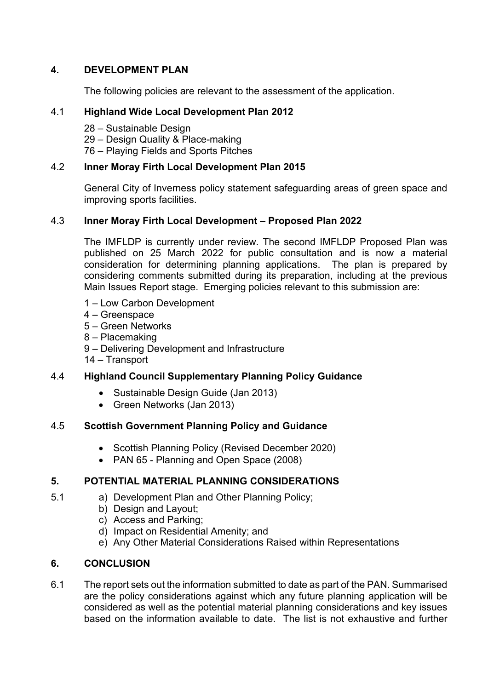# **4. DEVELOPMENT PLAN**

The following policies are relevant to the assessment of the application.

### 4.1 **Highland Wide Local Development Plan 2012**

28 – Sustainable Design

29 – Design Quality & Place-making

76 – Playing Fields and Sports Pitches

#### 4.2 **Inner Moray Firth Local Development Plan 2015**

General City of Inverness policy statement safeguarding areas of green space and improving sports facilities.

# 4.3 **Inner Moray Firth Local Development – Proposed Plan 2022**

The IMFLDP is currently under review. The second IMFLDP Proposed Plan was published on 25 March 2022 for public consultation and is now a material consideration for determining planning applications. The plan is prepared by considering comments submitted during its preparation, including at the previous Main Issues Report stage. Emerging policies relevant to this submission are:

- 1 Low Carbon Development
- 4 Greenspace
- 5 Green Networks
- 8 Placemaking
- 9 Delivering Development and Infrastructure
- 14 Transport

# 4.4 **Highland Council Supplementary Planning Policy Guidance**

- Sustainable Design Guide (Jan 2013)
- Green Networks (Jan 2013)

# 4.5 **Scottish Government Planning Policy and Guidance**

- Scottish Planning Policy (Revised December 2020)
- PAN 65 Planning and Open Space (2008)

# **5. POTENTIAL MATERIAL PLANNING CONSIDERATIONS**

- 5.1 a) Development Plan and Other Planning Policy;
	- b) Design and Layout;
	- c) Access and Parking;
	- d) Impact on Residential Amenity; and
	- e) Any Other Material Considerations Raised within Representations

# **6. CONCLUSION**

6.1 The report sets out the information submitted to date as part of the PAN. Summarised are the policy considerations against which any future planning application will be considered as well as the potential material planning considerations and key issues based on the information available to date. The list is not exhaustive and further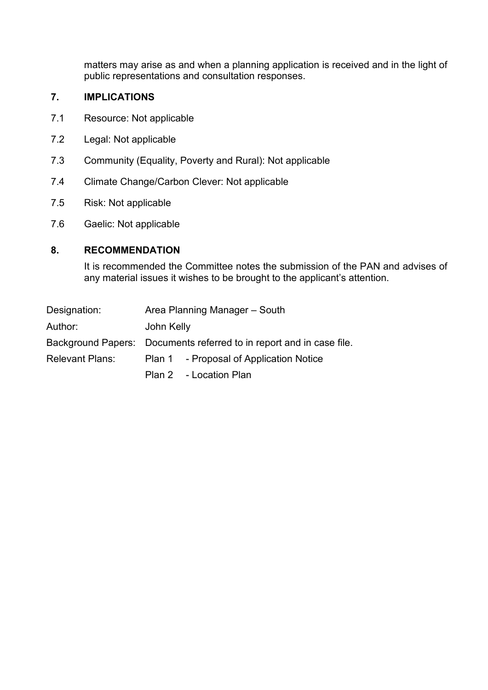matters may arise as and when a planning application is received and in the light of public representations and consultation responses.

#### **7. IMPLICATIONS**

- 7.1 Resource: Not applicable
- 7.2 Legal: Not applicable
- 7.3 Community (Equality, Poverty and Rural): Not applicable
- 7.4 Climate Change/Carbon Clever: Not applicable
- 7.5 Risk: Not applicable
- 7.6 Gaelic: Not applicable

#### **8. RECOMMENDATION**

It is recommended the Committee notes the submission of the PAN and advises of any material issues it wishes to be brought to the applicant's attention.

| Designation:    | Area Planning Manager – South                                        |                                         |
|-----------------|----------------------------------------------------------------------|-----------------------------------------|
| Author:         | John Kelly                                                           |                                         |
|                 | Background Papers: Documents referred to in report and in case file. |                                         |
| Relevant Plans: |                                                                      | Plan 1 - Proposal of Application Notice |
|                 |                                                                      | Plan 2 - Location Plan                  |